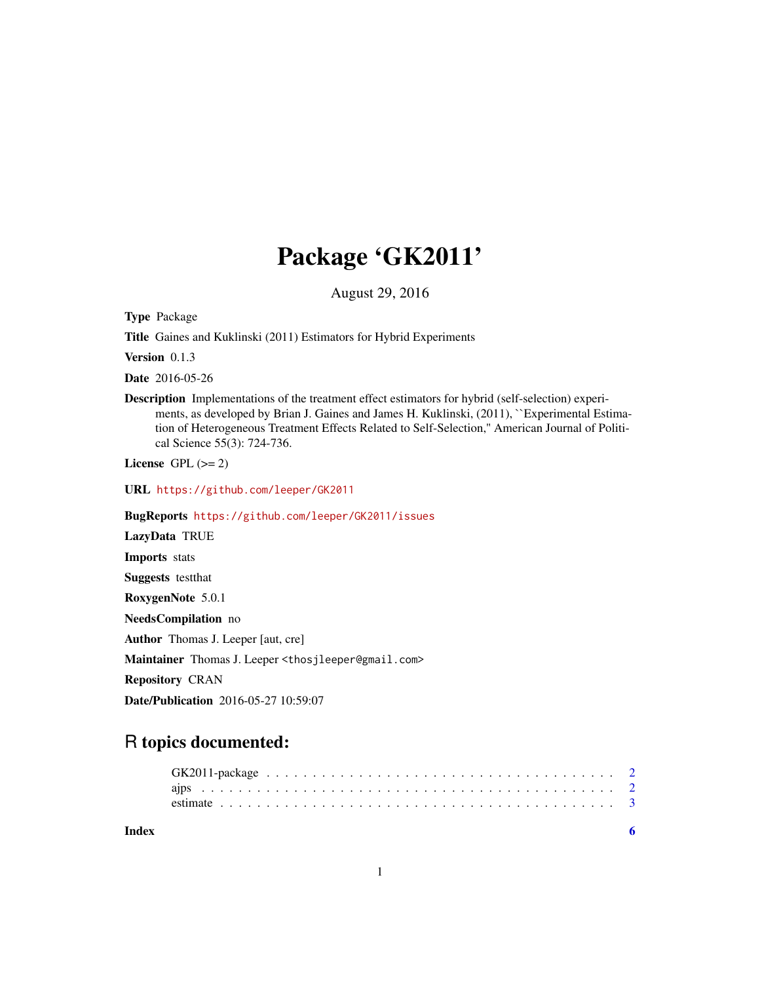## Package 'GK2011'

August 29, 2016

Type Package

Title Gaines and Kuklinski (2011) Estimators for Hybrid Experiments

Version 0.1.3

Date 2016-05-26

Description Implementations of the treatment effect estimators for hybrid (self-selection) experiments, as developed by Brian J. Gaines and James H. Kuklinski, (2011), "Experimental Estimation of Heterogeneous Treatment Effects Related to Self-Selection,'' American Journal of Political Science 55(3): 724-736.

License GPL  $(>= 2)$ 

URL <https://github.com/leeper/GK2011>

BugReports <https://github.com/leeper/GK2011/issues>

LazyData TRUE Imports stats Suggests testthat RoxygenNote 5.0.1 NeedsCompilation no Author Thomas J. Leeper [aut, cre] Maintainer Thomas J. Leeper <thosjleeper@gmail.com> Repository CRAN Date/Publication 2016-05-27 10:59:07

### R topics documented:

| Index |  |  |  |  |  |  |  |  |  |  |  |  |  |  |  |  |  |  |
|-------|--|--|--|--|--|--|--|--|--|--|--|--|--|--|--|--|--|--|
|       |  |  |  |  |  |  |  |  |  |  |  |  |  |  |  |  |  |  |
|       |  |  |  |  |  |  |  |  |  |  |  |  |  |  |  |  |  |  |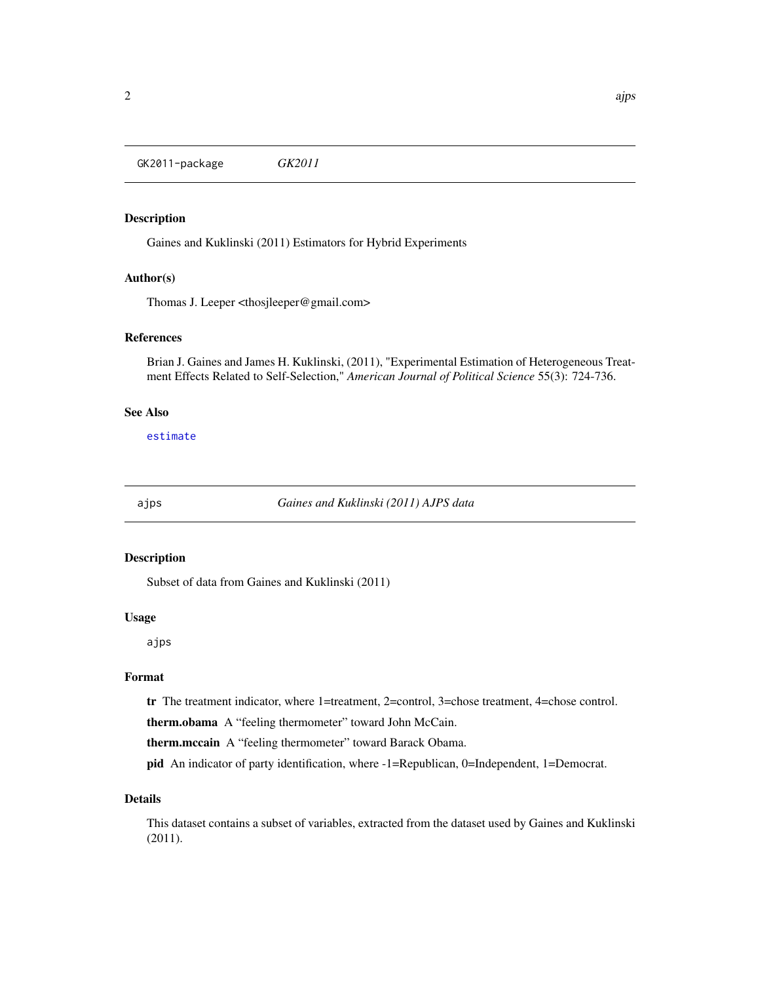<span id="page-1-0"></span>GK2011-package *GK2011*

#### Description

Gaines and Kuklinski (2011) Estimators for Hybrid Experiments

#### Author(s)

Thomas J. Leeper <thosjleeper@gmail.com>

#### References

Brian J. Gaines and James H. Kuklinski, (2011), "Experimental Estimation of Heterogeneous Treatment Effects Related to Self-Selection," *American Journal of Political Science* 55(3): 724-736.

#### See Also

[estimate](#page-2-1)

<span id="page-1-1"></span>

ajps *Gaines and Kuklinski (2011) AJPS data*

#### Description

Subset of data from Gaines and Kuklinski (2011)

#### Usage

ajps

#### Format

tr The treatment indicator, where 1=treatment, 2=control, 3=chose treatment, 4=chose control.

therm.obama A "feeling thermometer" toward John McCain.

therm.mccain A "feeling thermometer" toward Barack Obama.

pid An indicator of party identification, where -1=Republican, 0=Independent, 1=Democrat.

#### Details

This dataset contains a subset of variables, extracted from the dataset used by Gaines and Kuklinski (2011).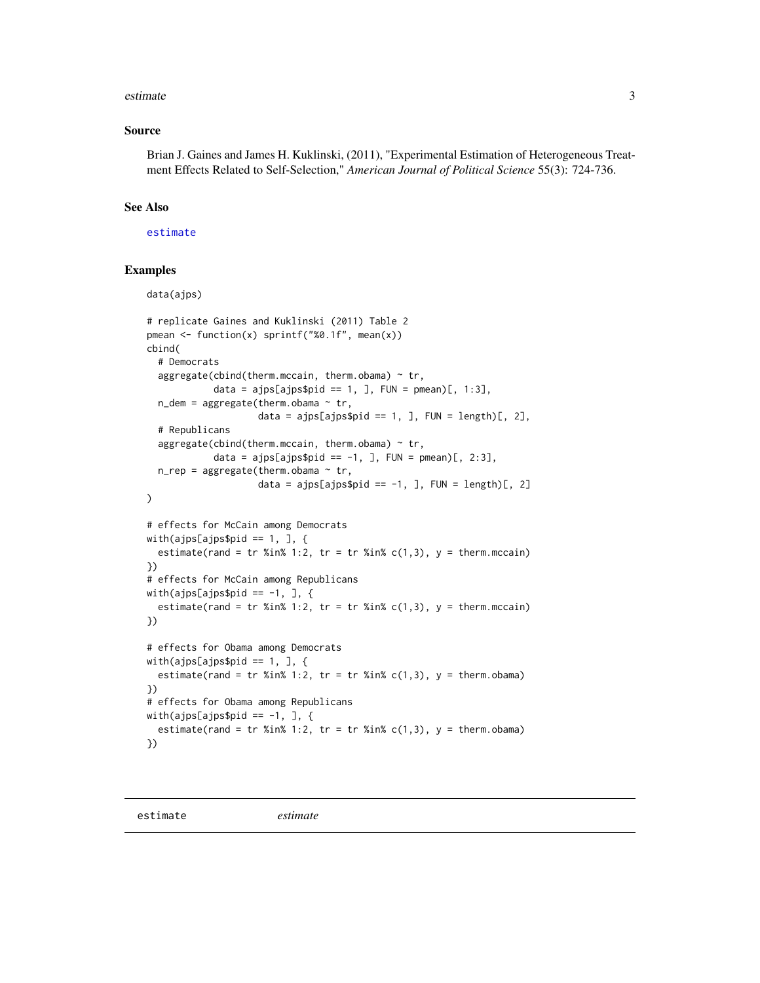#### <span id="page-2-0"></span>estimate 3

#### Source

Brian J. Gaines and James H. Kuklinski, (2011), "Experimental Estimation of Heterogeneous Treatment Effects Related to Self-Selection," *American Journal of Political Science* 55(3): 724-736.

#### See Also

#### [estimate](#page-2-1)

#### Examples

```
data(ajps)
# replicate Gaines and Kuklinski (2011) Table 2
pmean <- function(x) sprintf("%0.1f", mean(x))
cbind(
  # Democrats
  aggregate(cbind(therm.mccain, therm.obama) \sim tr,
            data = ajps[ajps$pid == 1, ], FUN = pmean)[, 1:3],
  n<sup>-</sup> dem = aggregate(therm.obama \sim tr,
                     data = ajps[ajps$pid == 1, ], FUN = length)[, 2],
  # Republicans
  aggregate(cbind(therm.mccain, therm.obama) \sim tr,
            data = ajps[ajps$pid == -1, ], FUN = pmean)[, 2:3],
  n_{prep} = aggregate(therm.obama \sim tr,
                    data = ajps[ajps$pid == -1, ], FUN = length)[, 2]
\mathcal{L}# effects for McCain among Democrats
with(ajps[ajps$pid == 1, 1, {\}estimate(rand = tr %in% 1:2, tr = tr %in% c(1,3), y = therm.mccain)
})
# effects for McCain among Republicans
with(ajps[ajps$pid == -1, ], {
  estimate(rand = tr %in% 1:2, tr = tr %in% c(1,3), y = therm.mccain)
})
# effects for Obama among Democrats
with(ajps[ajps$pid == 1, 1, {\}estimate(rand = tr %in% 1:2, tr = tr %in% c(1,3), y = therm.obama)
})
# effects for Obama among Republicans
with(ajps[ajps$pid == -1, ], {
  estimate(rand = tr %in% 1:2, tr = tr %in% c(1,3), y = therm.obama)
})
```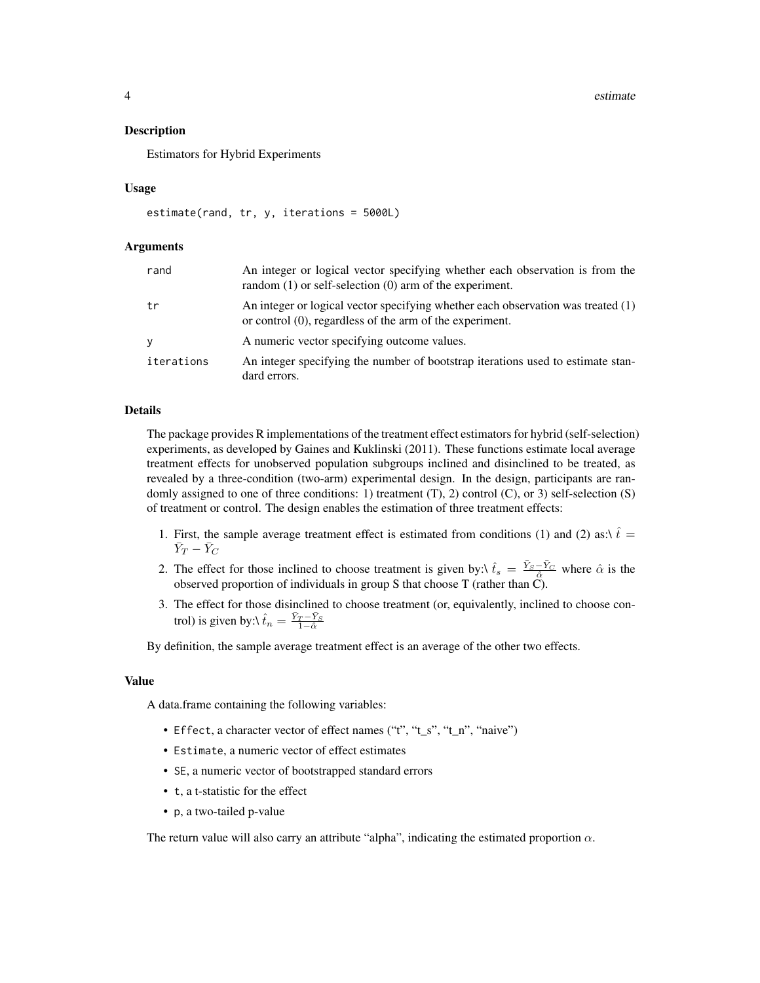4 estimate estimate estimate estimate estimate estimate estimate estimate estimate estimate estimate estimate estimate estimate estimate estimate estimate estimate estimate estimate estimate estimate estimate estimate esti

#### Description

Estimators for Hybrid Experiments

#### Usage

```
estimate(rand, tr, y, iterations = 5000L)
```
#### Arguments

| rand       | An integer or logical vector specifying whether each observation is from the<br>random $(1)$ or self-selection $(0)$ arm of the experiment.     |
|------------|-------------------------------------------------------------------------------------------------------------------------------------------------|
| tr         | An integer or logical vector specifying whether each observation was treated (1)<br>or control $(0)$ , regardless of the arm of the experiment. |
| V          | A numeric vector specifying outcome values.                                                                                                     |
| iterations | An integer specifying the number of bootstrap iterations used to estimate stan-<br>dard errors.                                                 |

#### Details

The package provides R implementations of the treatment effect estimators for hybrid (self-selection) experiments, as developed by Gaines and Kuklinski (2011). These functions estimate local average treatment effects for unobserved population subgroups inclined and disinclined to be treated, as revealed by a three-condition (two-arm) experimental design. In the design, participants are randomly assigned to one of three conditions: 1) treatment  $(T)$ , 2) control  $(C)$ , or 3) self-selection  $(S)$ of treatment or control. The design enables the estimation of three treatment effects:

- 1. First, the sample average treatment effect is estimated from conditions (1) and (2) as: $\hat{t} =$  $\bar{Y}_T - \bar{Y}_C$
- 2. The effect for those inclined to choose treatment is given by: $\hat{t}_s = \frac{\bar{Y}_s \bar{Y}_C}{\hat{\alpha}}$  where  $\hat{\alpha}$  is the observed proportion of individuals in group S that choose T (rather than C).
- 3. The effect for those disinclined to choose treatment (or, equivalently, inclined to choose control) is given by: $\hat{t}_n = \frac{\bar{Y}_T - \bar{Y}_S}{1 - \hat{\alpha}}$

By definition, the sample average treatment effect is an average of the other two effects.

#### Value

A data.frame containing the following variables:

- Effect, a character vector of effect names ("t", "t\_s", "t\_n", "naive")
- Estimate, a numeric vector of effect estimates
- SE, a numeric vector of bootstrapped standard errors
- t, a t-statistic for the effect
- p, a two-tailed p-value

The return value will also carry an attribute "alpha", indicating the estimated proportion  $\alpha$ .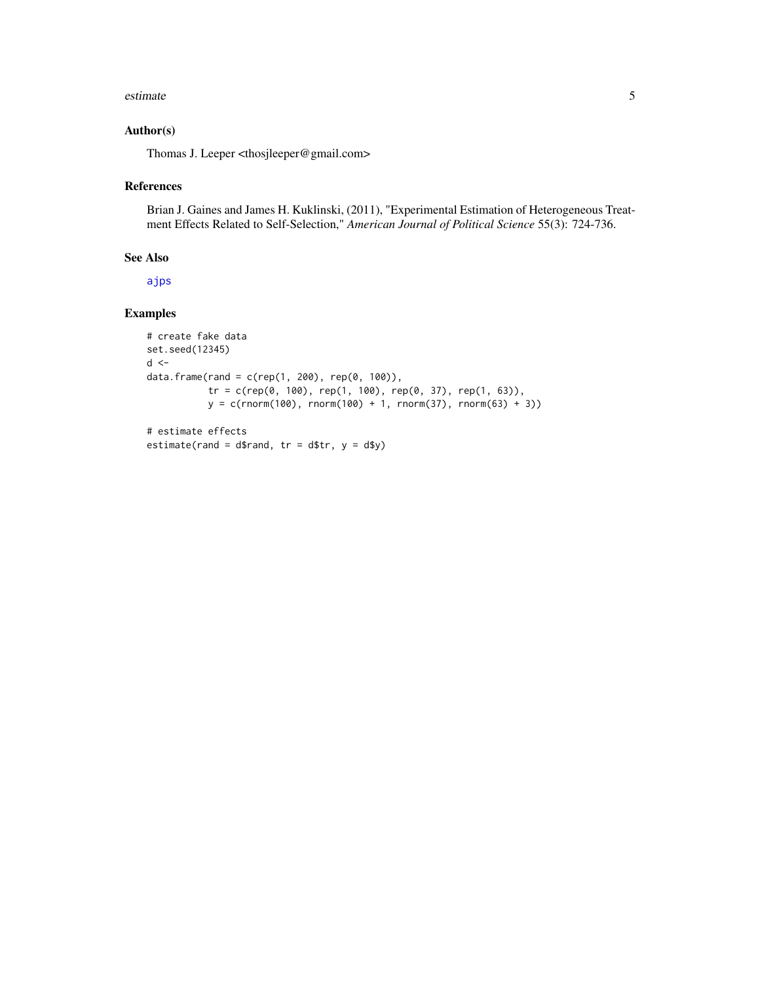#### <span id="page-4-0"></span>estimate 5

#### Author(s)

Thomas J. Leeper <thosjleeper@gmail.com>

#### References

Brian J. Gaines and James H. Kuklinski, (2011), "Experimental Estimation of Heterogeneous Treatment Effects Related to Self-Selection," *American Journal of Political Science* 55(3): 724-736.

#### See Also

[ajps](#page-1-1)

#### Examples

```
# create fake data
set.seed(12345)
d \leqdata.frame(rand = c(rep(1, 200), rep(0, 100)),
           tr = c(rep(\theta, 100), rep(1, 100), rep(\theta, 37), rep(1, 63)),y = c(rnorm(100), rnorm(100) + 1, rnorm(37), rnorm(63) + 3))# estimate effects
```

```
estimate(rand = d$rand, tr = d$tr, y = d$y)
```